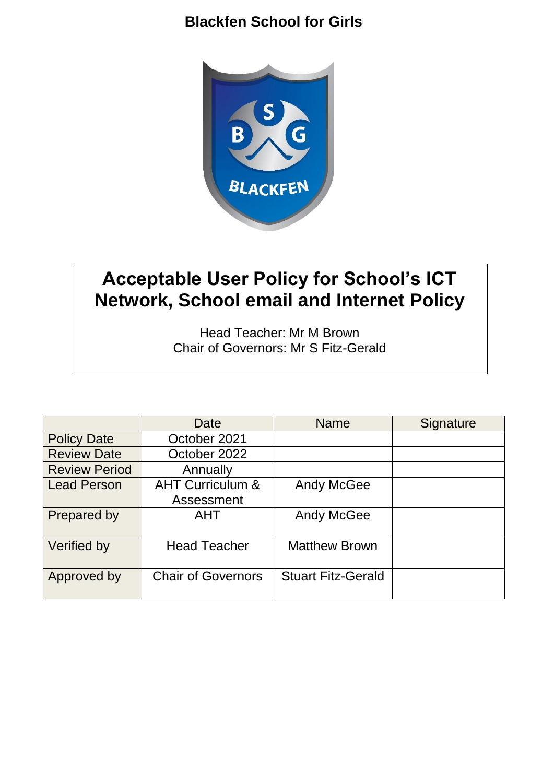

# **Acceptable User Policy for School's ICT Network, School email and Internet Policy**

Head Teacher: Mr M Brown Chair of Governors: Mr S Fitz-Gerald

|                      | Date                        | <b>Name</b>               | Signature |
|----------------------|-----------------------------|---------------------------|-----------|
| <b>Policy Date</b>   | October 2021                |                           |           |
| <b>Review Date</b>   | October 2022                |                           |           |
| <b>Review Period</b> | Annually                    |                           |           |
| <b>Lead Person</b>   | <b>AHT Curriculum &amp;</b> | <b>Andy McGee</b>         |           |
|                      | Assessment                  |                           |           |
| Prepared by          | <b>AHT</b>                  | <b>Andy McGee</b>         |           |
|                      |                             |                           |           |
| Verified by          | <b>Head Teacher</b>         | <b>Matthew Brown</b>      |           |
|                      |                             |                           |           |
| Approved by          | <b>Chair of Governors</b>   | <b>Stuart Fitz-Gerald</b> |           |
|                      |                             |                           |           |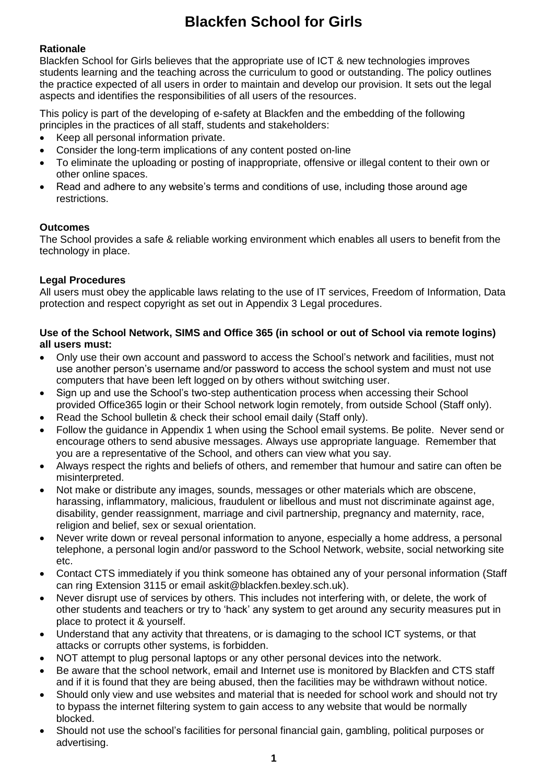# **Rationale**

Blackfen School for Girls believes that the appropriate use of ICT & new technologies improves students learning and the teaching across the curriculum to good or outstanding. The policy outlines the practice expected of all users in order to maintain and develop our provision. It sets out the legal aspects and identifies the responsibilities of all users of the resources.

This policy is part of the developing of e-safety at Blackfen and the embedding of the following principles in the practices of all staff, students and stakeholders:

- Keep all personal information private.
- Consider the long-term implications of any content posted on-line
- To eliminate the uploading or posting of inappropriate, offensive or illegal content to their own or other online spaces.
- Read and adhere to any website's terms and conditions of use, including those around age restrictions.

### **Outcomes**

The School provides a safe & reliable working environment which enables all users to benefit from the technology in place.

# **Legal Procedures**

All users must obey the applicable laws relating to the use of IT services, Freedom of Information, Data protection and respect copyright as set out in Appendix 3 Legal procedures.

### **Use of the School Network, SIMS and Office 365 (in school or out of School via remote logins) all users must:**

- Only use their own account and password to access the School's network and facilities, must not use another person's username and/or password to access the school system and must not use computers that have been left logged on by others without switching user.
- Sign up and use the School's two-step authentication process when accessing their School provided Office365 login or their School network login remotely, from outside School (Staff only).
- Read the School bulletin & check their school email daily (Staff only).
- Follow the guidance in Appendix 1 when using the School email systems. Be polite. Never send or encourage others to send abusive messages. Always use appropriate language. Remember that you are a representative of the School, and others can view what you say.
- Always respect the rights and beliefs of others, and remember that humour and satire can often be misinterpreted.
- Not make or distribute any images, sounds, messages or other materials which are obscene, harassing, inflammatory, malicious, fraudulent or libellous and must not discriminate against age, [disability,](https://www4.ntu.ac.uk/equality-diversity-inclusion/governance/protected-characteristics/disability.html) [gender reassignment,](https://www4.ntu.ac.uk/equality-diversity-inclusion/governance/protected-characteristics/gender-reassignment.html) [marriage and civil partnership,](https://www4.ntu.ac.uk/equality-diversity-inclusion/governance/protected-characteristics/marriage-civil-partnership.html) [pregnancy and maternity,](https://www4.ntu.ac.uk/equality-diversity-inclusion/governance/protected-characteristics/181487.html) [race,](https://www4.ntu.ac.uk/equality-diversity-inclusion/governance/protected-characteristics/race.html) [religion and belief,](https://www4.ntu.ac.uk/equality-diversity-inclusion/governance/protected-characteristics/religion-and-belief.html) sex or [sexual orientation.](https://www4.ntu.ac.uk/equality-diversity-inclusion/governance/protected-characteristics/sexual-orientation.html)
- Never write down or reveal personal information to anyone, especially a home address, a personal telephone, a personal login and/or password to the School Network, website, social networking site etc.
- Contact CTS immediately if you think someone has obtained any of your personal information (Staff can ring Extension 3115 or email askit@blackfen.bexley.sch.uk).
- Never disrupt use of services by others. This includes not interfering with, or delete, the work of other students and teachers or try to 'hack' any system to get around any security measures put in place to protect it & yourself.
- Understand that any activity that threatens, or is damaging to the school ICT systems, or that attacks or corrupts other systems, is forbidden.
- NOT attempt to plug personal laptops or any other personal devices into the network.
- Be aware that the school network, email and Internet use is monitored by Blackfen and CTS staff and if it is found that they are being abused, then the facilities may be withdrawn without notice.
- Should only view and use websites and material that is needed for school work and should not try to bypass the internet filtering system to gain access to any website that would be normally blocked.
- Should not use the school's facilities for personal financial gain, gambling, political purposes or advertising.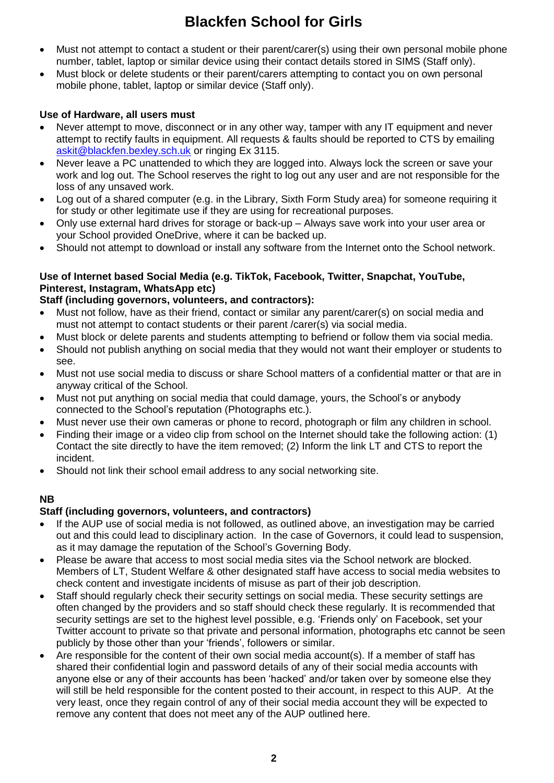- Must not attempt to contact a student or their parent/carer(s) using their own personal mobile phone number, tablet, laptop or similar device using their contact details stored in SIMS (Staff only).
- Must block or delete students or their parent/carers attempting to contact you on own personal mobile phone, tablet, laptop or similar device (Staff only).

# **Use of Hardware, all users must**

- Never attempt to move, disconnect or in any other way, tamper with any IT equipment and never attempt to rectify faults in equipment. All requests & faults should be reported to CTS by emailing [askit@blackfen.bexley.sch.uk](mailto:askit@blackfen.bexley.sch.uk) or ringing Ex 3115.
- Never leave a PC unattended to which they are logged into. Always lock the screen or save your work and log out. The School reserves the right to log out any user and are not responsible for the loss of any unsaved work.
- Log out of a shared computer (e.g. in the Library, Sixth Form Study area) for someone requiring it for study or other legitimate use if they are using for recreational purposes.
- Only use external hard drives for storage or back-up Always save work into your user area or your School provided OneDrive, where it can be backed up.
- Should not attempt to download or install any software from the Internet onto the School network.

# **Use of Internet based Social Media (e.g. TikTok, Facebook, Twitter, Snapchat, YouTube, Pinterest, Instagram, WhatsApp etc)**

# **Staff (including governors, volunteers, and contractors):**

- Must not follow, have as their friend, contact or similar any parent/carer(s) on social media and must not attempt to contact students or their parent /carer(s) via social media.
- Must block or delete parents and students attempting to befriend or follow them via social media.
- Should not publish anything on social media that they would not want their employer or students to see.
- Must not use social media to discuss or share School matters of a confidential matter or that are in anyway critical of the School.
- Must not put anything on social media that could damage, yours, the School's or anybody connected to the School's reputation (Photographs etc.).
- Must never use their own cameras or phone to record, photograph or film any children in school.
- Finding their image or a video clip from school on the Internet should take the following action: (1) Contact the site directly to have the item removed; (2) Inform the link LT and CTS to report the incident.
- Should not link their school email address to any social networking site.

# **NB**

# **Staff (including governors, volunteers, and contractors)**

- If the AUP use of social media is not followed, as outlined above, an investigation may be carried out and this could lead to disciplinary action. In the case of Governors, it could lead to suspension, as it may damage the reputation of the School's Governing Body.
- Please be aware that access to most social media sites via the School network are blocked. Members of LT, Student Welfare & other designated staff have access to social media websites to check content and investigate incidents of misuse as part of their job description.
- Staff should regularly check their security settings on social media. These security settings are often changed by the providers and so staff should check these regularly. It is recommended that security settings are set to the highest level possible, e.g. 'Friends only' on Facebook, set your Twitter account to private so that private and personal information, photographs etc cannot be seen publicly by those other than your 'friends', followers or similar.
- Are responsible for the content of their own social media account(s). If a member of staff has shared their confidential login and password details of any of their social media accounts with anyone else or any of their accounts has been 'hacked' and/or taken over by someone else they will still be held responsible for the content posted to their account, in respect to this AUP. At the very least, once they regain control of any of their social media account they will be expected to remove any content that does not meet any of the AUP outlined here.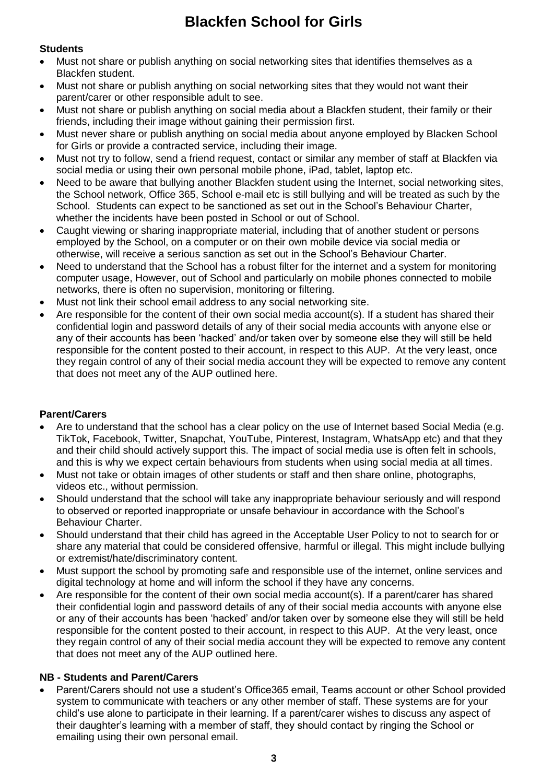# **Students**

- Must not share or publish anything on social networking sites that identifies themselves as a Blackfen student.
- Must not share or publish anything on social networking sites that they would not want their parent/carer or other responsible adult to see.
- Must not share or publish anything on social media about a Blackfen student, their family or their friends, including their image without gaining their permission first.
- Must never share or publish anything on social media about anyone employed by Blacken School for Girls or provide a contracted service, including their image.
- Must not try to follow, send a friend request, contact or similar any member of staff at Blackfen via social media or using their own personal mobile phone, iPad, tablet, laptop etc.
- Need to be aware that bullying another Blackfen student using the Internet, social networking sites, the School network, Office 365, School e-mail etc is still bullying and will be treated as such by the School. Students can expect to be sanctioned as set out in the School's Behaviour Charter, whether the incidents have been posted in School or out of School.
- Caught viewing or sharing inappropriate material, including that of another student or persons employed by the School, on a computer or on their own mobile device via social media or otherwise, will receive a serious sanction as set out in the School's Behaviour Charter.
- Need to understand that the School has a robust filter for the internet and a system for monitoring computer usage, However, out of School and particularly on mobile phones connected to mobile networks, there is often no supervision, monitoring or filtering.
- Must not link their school email address to any social networking site.
- Are responsible for the content of their own social media account(s). If a student has shared their confidential login and password details of any of their social media accounts with anyone else or any of their accounts has been 'hacked' and/or taken over by someone else they will still be held responsible for the content posted to their account, in respect to this AUP. At the very least, once they regain control of any of their social media account they will be expected to remove any content that does not meet any of the AUP outlined here.

# **Parent/Carers**

- Are to understand that the school has a clear policy on the use of Internet based Social Media (e.g. TikTok, Facebook, Twitter, Snapchat, YouTube, Pinterest, Instagram, WhatsApp etc) and that they and their child should actively support this. The impact of social media use is often felt in schools, and this is why we expect certain behaviours from students when using social media at all times.
- Must not take or obtain images of other students or staff and then share online, photographs, videos etc., without permission.
- Should understand that the school will take any inappropriate behaviour seriously and will respond to observed or reported inappropriate or unsafe behaviour in accordance with the School's Behaviour Charter.
- Should understand that their child has agreed in the Acceptable User Policy to not to search for or share any material that could be considered offensive, harmful or illegal. This might include bullying or extremist/hate/discriminatory content.
- Must support the school by promoting safe and responsible use of the internet, online services and digital technology at home and will inform the school if they have any concerns.
- Are responsible for the content of their own social media account(s). If a parent/carer has shared their confidential login and password details of any of their social media accounts with anyone else or any of their accounts has been 'hacked' and/or taken over by someone else they will still be held responsible for the content posted to their account, in respect to this AUP. At the very least, once they regain control of any of their social media account they will be expected to remove any content that does not meet any of the AUP outlined here.

# **NB - Students and Parent/Carers**

 Parent/Carers should not use a student's Office365 email, Teams account or other School provided system to communicate with teachers or any other member of staff. These systems are for your child's use alone to participate in their learning. If a parent/carer wishes to discuss any aspect of their daughter's learning with a member of staff, they should contact by ringing the School or emailing using their own personal email.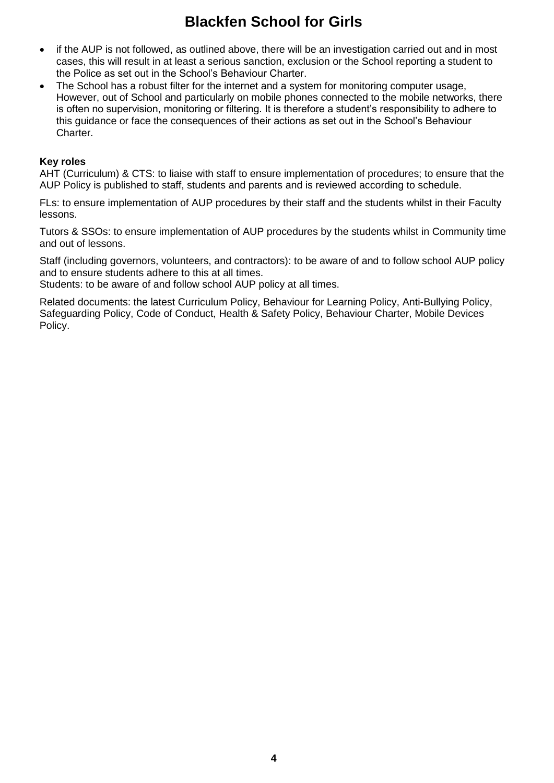- if the AUP is not followed, as outlined above, there will be an investigation carried out and in most cases, this will result in at least a serious sanction, exclusion or the School reporting a student to the Police as set out in the School's Behaviour Charter.
- The School has a robust filter for the internet and a system for monitoring computer usage, However, out of School and particularly on mobile phones connected to the mobile networks, there is often no supervision, monitoring or filtering. It is therefore a student's responsibility to adhere to this guidance or face the consequences of their actions as set out in the School's Behaviour Charter.

#### **Key roles**

AHT (Curriculum) & CTS: to liaise with staff to ensure implementation of procedures; to ensure that the AUP Policy is published to staff, students and parents and is reviewed according to schedule.

FLs: to ensure implementation of AUP procedures by their staff and the students whilst in their Faculty lessons.

Tutors & SSOs: to ensure implementation of AUP procedures by the students whilst in Community time and out of lessons.

Staff (including governors, volunteers, and contractors): to be aware of and to follow school AUP policy and to ensure students adhere to this at all times.

Students: to be aware of and follow school AUP policy at all times.

Related documents: the latest Curriculum Policy, Behaviour for Learning Policy, Anti-Bullying Policy, Safeguarding Policy, Code of Conduct, Health & Safety Policy, Behaviour Charter, Mobile Devices Policy.